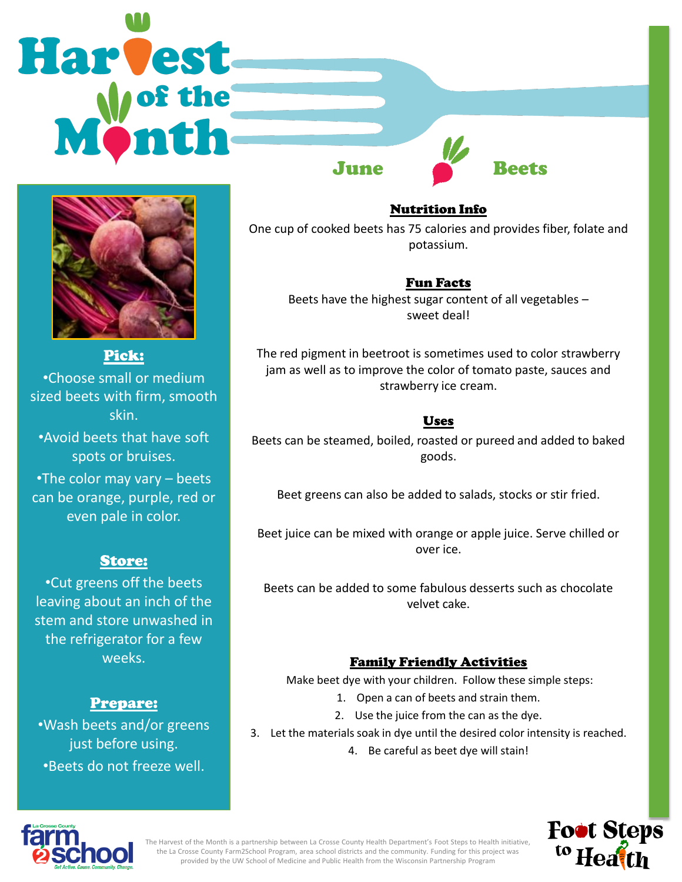# **Harvest** June Beets



Pick: •Choose small or medium sized beets with firm, smooth skin.

•Avoid beets that have soft spots or bruises.

•The color may vary – beets can be orange, purple, red or even pale in color.

## Store:

•Cut greens off the beets leaving about an inch of the stem and store unwashed in the refrigerator for a few weeks.

# Prepare:

•Wash beets and/or greens just before using. •Beets do not freeze well.

Nutrition Info One cup of cooked beets has 75 calories and provides fiber, folate and potassium.

## Fun Facts

Beets have the highest sugar content of all vegetables – sweet deal!

The red pigment in beetroot is sometimes used to color strawberry jam as well as to improve the color of tomato paste, sauces and strawberry ice cream.

# Uses

Beets can be steamed, boiled, roasted or pureed and added to baked goods.

Beet greens can also be added to salads, stocks or stir fried.

Beet juice can be mixed with orange or apple juice. Serve chilled or over ice.

Beets can be added to some fabulous desserts such as chocolate velvet cake.

# Family Friendly Activities

Make beet dye with your children. Follow these simple steps:

- 1. Open a can of beets and strain them.
- 2. Use the juice from the can as the dye.
- 3. Let the materials soak in dye until the desired color intensity is reached.
	- 4. Be careful as beet dye will stain!